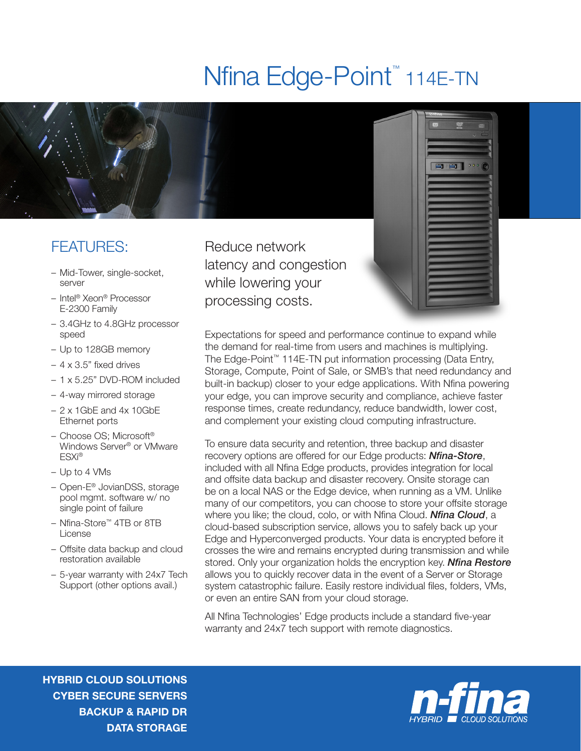## Nfina Edge-Point<sup>™</sup> 114E-TN



## FEATURES:

- Mid-Tower, single-socket, server
- Intel® Xeon® Processor E-2300 Family
- 3.4GHz to 4.8GHz processor speed
- Up to 128GB memory
- 4 x 3.5" fixed drives
- 1 x 5.25" DVD-ROM included
- 4-way mirrored storage
- 2 x 1GbE and 4x 10GbE Ethernet ports
- Choose OS; Microsoft® Windows Server® or VMware ESXi®
- Up to 4 VMs
- Open-E® JovianDSS, storage pool mgmt. software w/ no single point of failure
- Nfina-Store™ 4TB or 8TB License
- Offsite data backup and cloud restoration available
- 5-year warranty with 24x7 Tech Support (other options avail.)

Reduce network latency and congestion while lowering your processing costs.



Expectations for speed and performance continue to expand while the demand for real-time from users and machines is multiplying. The Edge-Point™ 114E-TN put information processing (Data Entry, Storage, Compute, Point of Sale, or SMB's that need redundancy and built-in backup) closer to your edge applications. With Nfina powering your edge, you can improve security and compliance, achieve faster response times, create redundancy, reduce bandwidth, lower cost, and complement your existing cloud computing infrastructure.

To ensure data security and retention, three backup and disaster recovery options are offered for our Edge products: *Nfina-Store*, included with all Nfina Edge products, provides integration for local and offsite data backup and disaster recovery. Onsite storage can be on a local NAS or the Edge device, when running as a VM. Unlike many of our competitors, you can choose to store your offsite storage where you like; the cloud, colo, or with Nfina Cloud. *Nfina Cloud*, a cloud-based subscription service, allows you to safely back up your Edge and Hyperconverged products. Your data is encrypted before it crosses the wire and remains encrypted during transmission and while stored. Only your organization holds the encryption key. *Nfina Restore* allows you to quickly recover data in the event of a Server or Storage system catastrophic failure. Easily restore individual files, folders, VMs, or even an entire SAN from your cloud storage.

All Nfina Technologies' Edge products include a standard five-year warranty and 24x7 tech support with remote diagnostics.

HYBRID CLOUD SOLUTIONS CYBER SECURE SERVERS BACKUP & RAPID DR DATA STORAGE

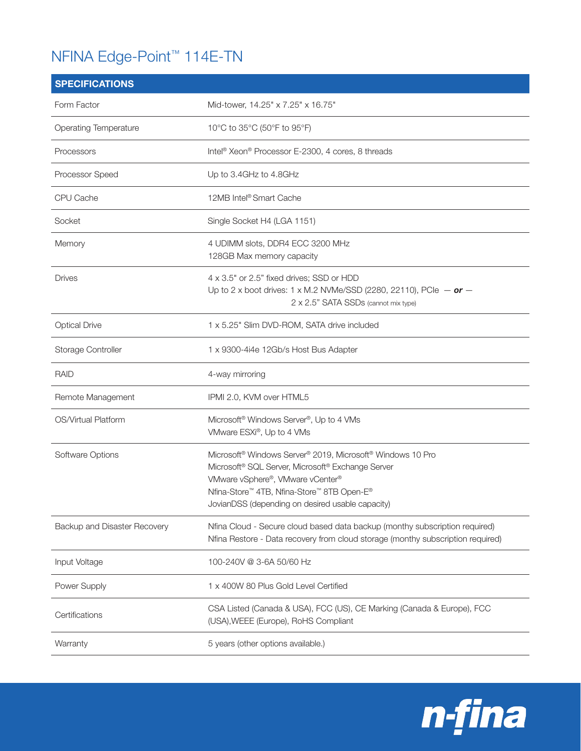## NFINA Edge-Point™ 114E-TN

| <b>SPECIFICATIONS</b>        |                                                                                                                                                                                                                                                                                                       |
|------------------------------|-------------------------------------------------------------------------------------------------------------------------------------------------------------------------------------------------------------------------------------------------------------------------------------------------------|
| Form Factor                  | Mid-tower, 14.25" x 7.25" x 16.75"                                                                                                                                                                                                                                                                    |
| <b>Operating Temperature</b> | 10°C to 35°C (50°F to 95°F)                                                                                                                                                                                                                                                                           |
| Processors                   | Intel <sup>®</sup> Xeon® Processor E-2300, 4 cores, 8 threads                                                                                                                                                                                                                                         |
| Processor Speed              | Up to 3.4GHz to 4.8GHz                                                                                                                                                                                                                                                                                |
| CPU Cache                    | 12MB Intel <sup>®</sup> Smart Cache                                                                                                                                                                                                                                                                   |
| Socket                       | Single Socket H4 (LGA 1151)                                                                                                                                                                                                                                                                           |
| Memory                       | 4 UDIMM slots, DDR4 ECC 3200 MHz<br>128GB Max memory capacity                                                                                                                                                                                                                                         |
| <b>Drives</b>                | 4 x 3.5" or 2.5" fixed drives; SSD or HDD<br>Up to 2 x boot drives: 1 x M.2 NVMe/SSD (2280, 22110), PCle $-$ or $-$<br>2 x 2.5" SATA SSDs (cannot mix type)                                                                                                                                           |
| <b>Optical Drive</b>         | 1 x 5.25" Slim DVD-ROM, SATA drive included                                                                                                                                                                                                                                                           |
| Storage Controller           | 1 x 9300-4i4e 12Gb/s Host Bus Adapter                                                                                                                                                                                                                                                                 |
| <b>RAID</b>                  | 4-way mirroring                                                                                                                                                                                                                                                                                       |
| Remote Management            | IPMI 2.0, KVM over HTML5                                                                                                                                                                                                                                                                              |
| OS/Virtual Platform          | Microsoft <sup>®</sup> Windows Server <sup>®</sup> , Up to 4 VMs<br>VMware ESXi®, Up to 4 VMs                                                                                                                                                                                                         |
| Software Options             | Microsoft <sup>®</sup> Windows Server <sup>®</sup> 2019, Microsoft <sup>®</sup> Windows 10 Pro<br>Microsoft <sup>®</sup> SQL Server, Microsoft® Exchange Server<br>VMware vSphere®, VMware vCenter®<br>Nfina-Store™ 4TB, Nfina-Store™ 8TB Open-E®<br>JovianDSS (depending on desired usable capacity) |
| Backup and Disaster Recovery | Nfina Cloud - Secure cloud based data backup (monthy subscription required)<br>Nfina Restore - Data recovery from cloud storage (monthy subscription required)                                                                                                                                        |
| Input Voltage                | 100-240V @ 3-6A 50/60 Hz                                                                                                                                                                                                                                                                              |
| Power Supply                 | 1 x 400W 80 Plus Gold Level Certified                                                                                                                                                                                                                                                                 |
| Certifications               | CSA Listed (Canada & USA), FCC (US), CE Marking (Canada & Europe), FCC<br>(USA), WEEE (Europe), RoHS Compliant                                                                                                                                                                                        |
| Warranty                     | 5 years (other options available.)                                                                                                                                                                                                                                                                    |